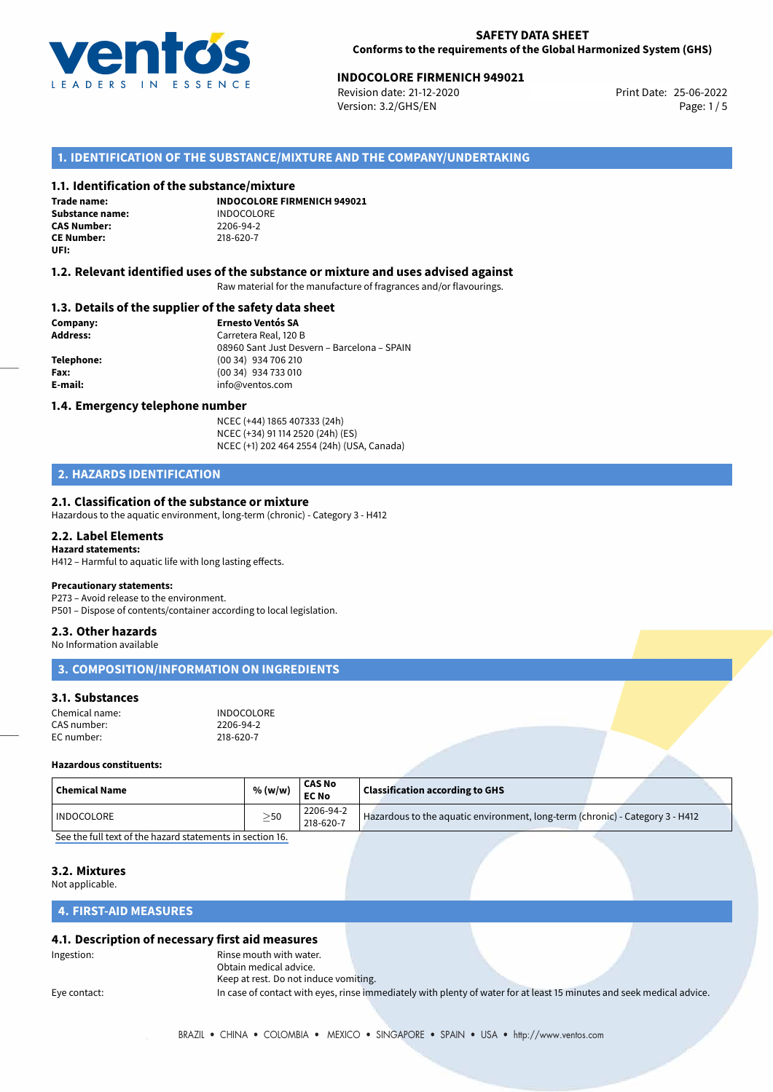

## **INDOCOLORE FIRMENICH 949021**<br> **25-06-2022** Print Date: 25-06-2022<br> **Print Date: 25-06-2022**

Revision date: 21-12-2020 Version: 3.2/GHS/EN Page: 1/5

## **1. IDENTIFICATION OF THE SUBSTANCE/MIXTURE AND THE COMPANY/UNDERTAKING**

### **1.1. Identification of the substance/mixture**

**Trade name: Substance name:** INDOCOLORE<br> **CAS Number:** 2206-94-2 **CAS Number: CE Number:** 218-620-7 **UFI:**

**INDOCOLORE FIRMENICH 949021**

### **1.2. Relevant identified uses of the substance or mixture and uses advised against**

Raw material for the manufacture of fragrances and/or flavourings.

## **1.3. Details of the supplier of the safety data sheet**

**Company: Ernesto Ventós SA Address:** Carretera Real, 120 B 08960 Sant Just Desvern – Barcelona – SPAIN **Telephone:** (00 34) 934 706 210 **Fax:** (00 34) 934 733 010 **E-mail:** info@ventos.com

### **1.4. Emergency telephone number**

NCEC (+44) 1865 407333 (24h) NCEC (+34) 91 114 2520 (24h) (ES) NCEC (+1) 202 464 2554 (24h) (USA, Canada)

## **2. HAZARDS IDENTIFICATION**

## **2.1. Classification of the substance or mixture**

Hazardous to the aquatic environment, long-term (chronic) - Category 3 - H412

## **2.2. Label Elements**

**Hazard statements:** H412 – Harmful to aquatic life with long lasting effects.

### **Precautionary statements:**

P273 – Avoid release to the environment. P501 – Dispose of contents/container according to local legislation.

### **2.3. Other hazards**

No Information available

## **3. COMPOSITION/INFORMATION ON INGREDIENTS**

## **3.1. Substances**

| Chemical name: | <b>INDOCOLORE</b> |
|----------------|-------------------|
| CAS number:    | 2206-94-2         |
| EC number:     | 218-620-7         |

### **Hazardous constituents:**

| <b>Chemical Name</b> | % (w/w)   | <b>CAS No</b><br><b>EC No</b> | <b>Classification according to GHS</b>                                        |  |
|----------------------|-----------|-------------------------------|-------------------------------------------------------------------------------|--|
| INDOCOLORE           | $\geq$ 50 | 2206-94-2<br>218-620-7        | Hazardous to the aquatic environment, long-term (chronic) - Category 3 - H412 |  |
|                      | .         |                               |                                                                               |  |

[See the full text of the hazard statements in section 16.](#page--1-0)

## **3.2. Mixtures**

Not applicable.

### **4. FIRST-AID MEASURES**

## **4.1. Description of necessary first aid measures**

Ingestion: Rinse mouth with water. Obtain medical advice. Keep at rest. Do not induce vomiting.

Eye contact: In case of contact with eyes, rinse immediately with plenty of water for at least 15 minutes and seek medical advice.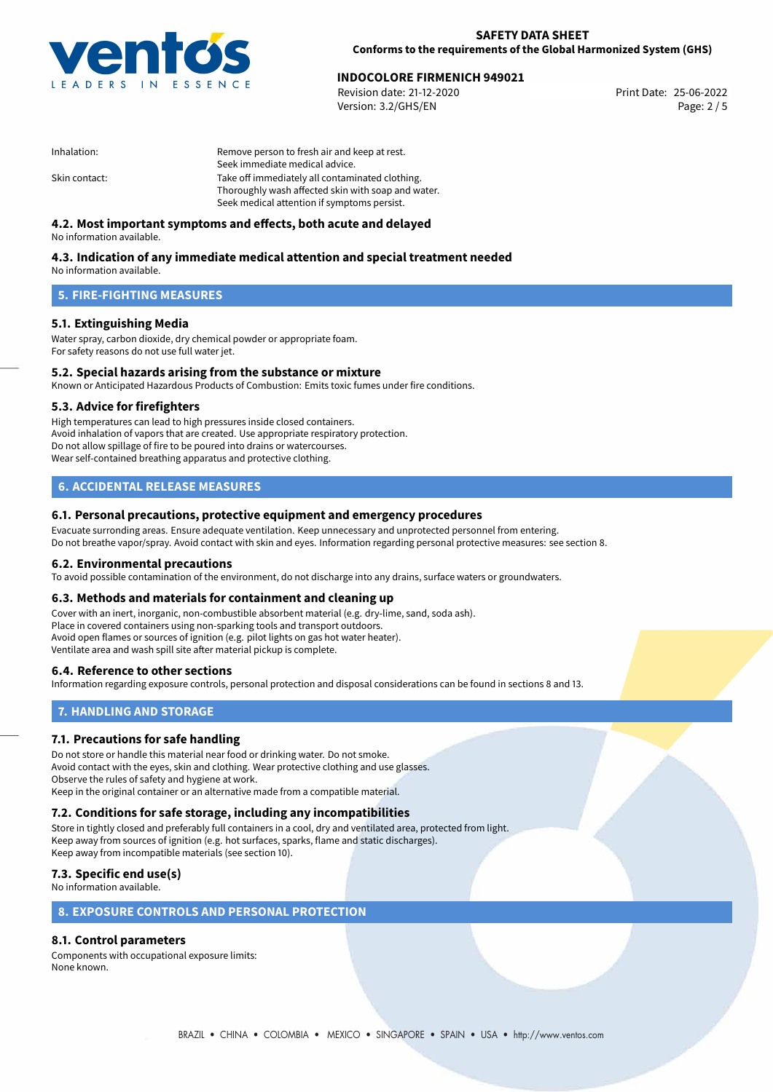

## **INDOCOLORE FIRMENICH 949021**<br> **25-06-2022** Print Date: 25-06-2022<br>
Print Date: 25-06-2022

Revision date: 21-12-2020 Version: 3.2/GHS/EN Page: 2 / 5

| Remove person to fresh air and keep at rest.       |
|----------------------------------------------------|
| Seek immediate medical advice.                     |
| Take off immediately all contaminated clothing.    |
| Thoroughly wash affected skin with soap and water. |
| Seek medical attention if symptoms persist.        |
|                                                    |

## **4.2. Most important symptoms and effects, both acute and delayed**

No information available.

## **4.3. Indication of any immediate medical attention and special treatment needed**

No information available.

## **5. FIRE-FIGHTING MEASURES**

## **5.1. Extinguishing Media**

Water spray, carbon dioxide, dry chemical powder or appropriate foam. For safety reasons do not use full water jet.

## **5.2. Special hazards arising from the substance or mixture**

Known or Anticipated Hazardous Products of Combustion: Emits toxic fumes under fire conditions.

## **5.3. Advice for firefighters**

High temperatures can lead to high pressures inside closed containers. Avoid inhalation of vapors that are created. Use appropriate respiratory protection. Do not allow spillage of fire to be poured into drains or watercourses. Wear self-contained breathing apparatus and protective clothing.

## **6. ACCIDENTAL RELEASE MEASURES**

## **6.1. Personal precautions, protective equipment and emergency procedures**

Evacuate surronding areas. Ensure adequate ventilation. Keep unnecessary and unprotected personnel from entering. Do not breathe vapor/spray. Avoid contact with skin and eyes. Information regarding personal protective measures: see section 8.

## **6.2. Environmental precautions**

To avoid possible contamination of the environment, do not discharge into any drains, surface waters or groundwaters.

### **6.3. Methods and materials for containment and cleaning up**

Cover with an inert, inorganic, non-combustible absorbent material (e.g. dry-lime, sand, soda ash). Place in covered containers using non-sparking tools and transport outdoors. Avoid open flames or sources of ignition (e.g. pilot lights on gas hot water heater). Ventilate area and wash spill site after material pickup is complete.

## **6.4. Reference to other sections**

Information regarding exposure controls, personal protection and disposal considerations can be found in sections 8 and 13.

## **7. HANDLING AND STORAGE**

## **7.1. Precautions for safe handling**

Do not store or handle this material near food or drinking water. Do not smoke. Avoid contact with the eyes, skin and clothing. Wear protective clothing and use glasses. Observe the rules of safety and hygiene at work. Keep in the original container or an alternative made from a compatible material.

## **7.2. Conditions for safe storage, including any incompatibilities**

Store in tightly closed and preferably full containers in a cool, dry and ventilated area, protected from light. Keep away from sources of ignition (e.g. hot surfaces, sparks, flame and static discharges). Keep away from incompatible materials (see section 10).

## **7.3. Specific end use(s)**

No information available.

## **8. EXPOSURE CONTROLS AND PERSONAL PROTECTION**

## **8.1. Control parameters**

Components with occupational exposure limits: None known.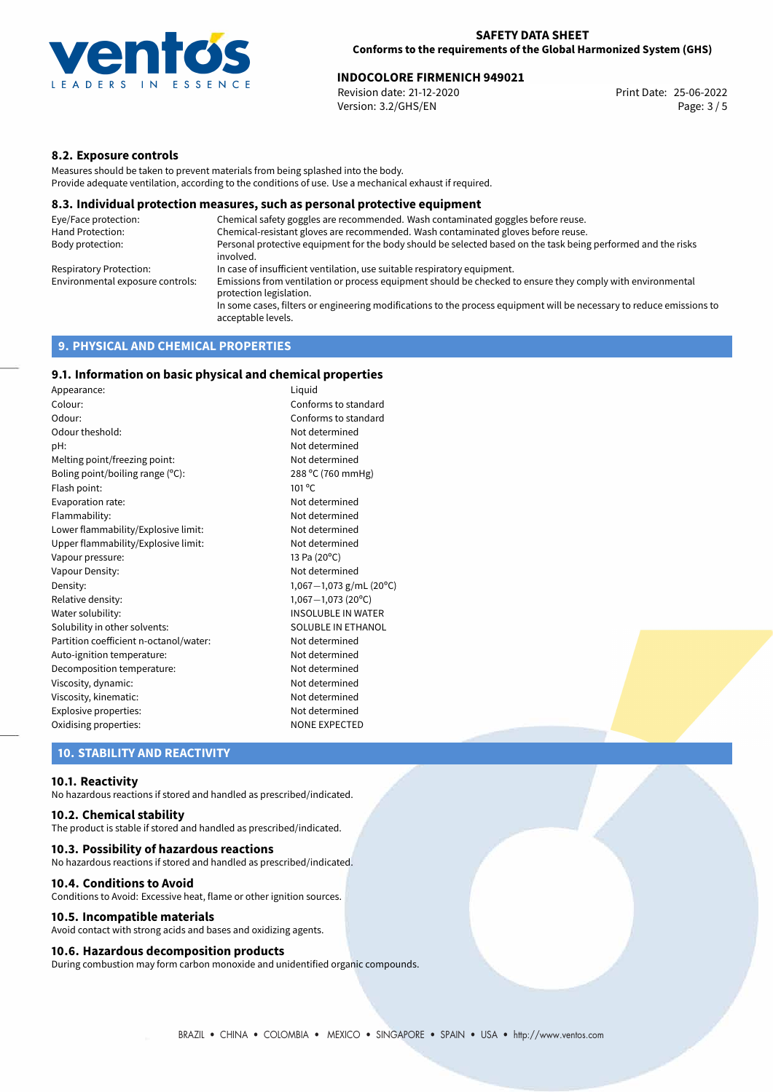

## **INDOCOLORE FIRMENICH 949021**<br> **25-06-2022** Print Date: 25-06-2022<br> **Print Date: 25-06-2022**

Revision date: 21-12-2020 Version: 3.2/GHS/EN Page: 3 / 5

## **8.2. Exposure controls**

Measures should be taken to prevent materials from being splashed into the body. Provide adequate ventilation, according to the conditions of use. Use a mechanical exhaust if required.

### **8.3. Individual protection measures, such as personal protective equipment**

| Eye/Face protection:             | Chemical safety goggles are recommended. Wash contaminated goggles before reuse.                                                            |
|----------------------------------|---------------------------------------------------------------------------------------------------------------------------------------------|
| Hand Protection:                 | Chemical-resistant gloves are recommended. Wash contaminated gloves before reuse.                                                           |
| Body protection:                 | Personal protective equipment for the body should be selected based on the task being performed and the risks<br>involved.                  |
| Respiratory Protection:          | In case of insufficient ventilation, use suitable respiratory equipment.                                                                    |
| Environmental exposure controls: | Emissions from ventilation or process equipment should be checked to ensure they comply with environmental<br>protection legislation.       |
|                                  | In some cases, filters or engineering modifications to the process equipment will be necessary to reduce emissions to<br>acceptable levels. |
|                                  |                                                                                                                                             |

## **9. PHYSICAL AND CHEMICAL PROPERTIES**

## **9.1. Information on basic physical and chemical properties**

| Appearance:                            | Liguid                      |
|----------------------------------------|-----------------------------|
| Colour:                                | Conforms to standard        |
| Odour:                                 | Conforms to standard        |
| Odour theshold:                        | Not determined              |
| pH:                                    | Not determined              |
| Melting point/freezing point:          | Not determined              |
| Boling point/boiling range $(°C)$ :    | 288 °C (760 mmHg)           |
| Flash point:                           | $101^{\circ}$ C             |
| Evaporation rate:                      | Not determined              |
| Flammability:                          | Not determined              |
| Lower flammability/Explosive limit:    | Not determined              |
| Upper flammability/Explosive limit:    | Not determined              |
| Vapour pressure:                       | 13 Pa (20°C)                |
| Vapour Density:                        | Not determined              |
| Density:                               | 1,067 $-1$ ,073 g/mL (20°C) |
| Relative density:                      | $1,067 - 1,073$ (20°C)      |
| Water solubility:                      | <b>INSOLUBLE IN WATER</b>   |
| Solubility in other solvents:          | SOLUBLE IN ETHANOL          |
| Partition coefficient n-octanol/water: | Not determined              |
| Auto-ignition temperature:             | Not determined              |
| Decomposition temperature:             | Not determined              |
| Viscosity, dynamic:                    | Not determined              |
| Viscosity, kinematic:                  | Not determined              |
| Explosive properties:                  | Not determined              |
| Oxidising properties:                  | <b>NONE EXPECTED</b>        |

**10. STABILITY AND REACTIVITY**

### **10.1. Reactivity**

No hazardous reactions if stored and handled as prescribed/indicated.

## **10.2. Chemical stability**

The product is stable if stored and handled as prescribed/indicated.

### **10.3. Possibility of hazardous reactions**

No hazardous reactions if stored and handled as prescribed/indicated.

#### **10.4. Conditions to Avoid**

Conditions to Avoid: Excessive heat, flame or other ignition sources.

### **10.5. Incompatible materials**

Avoid contact with strong acids and bases and oxidizing agents.

### **10.6. Hazardous decomposition products**

During combustion may form carbon monoxide and unidentified organic compounds.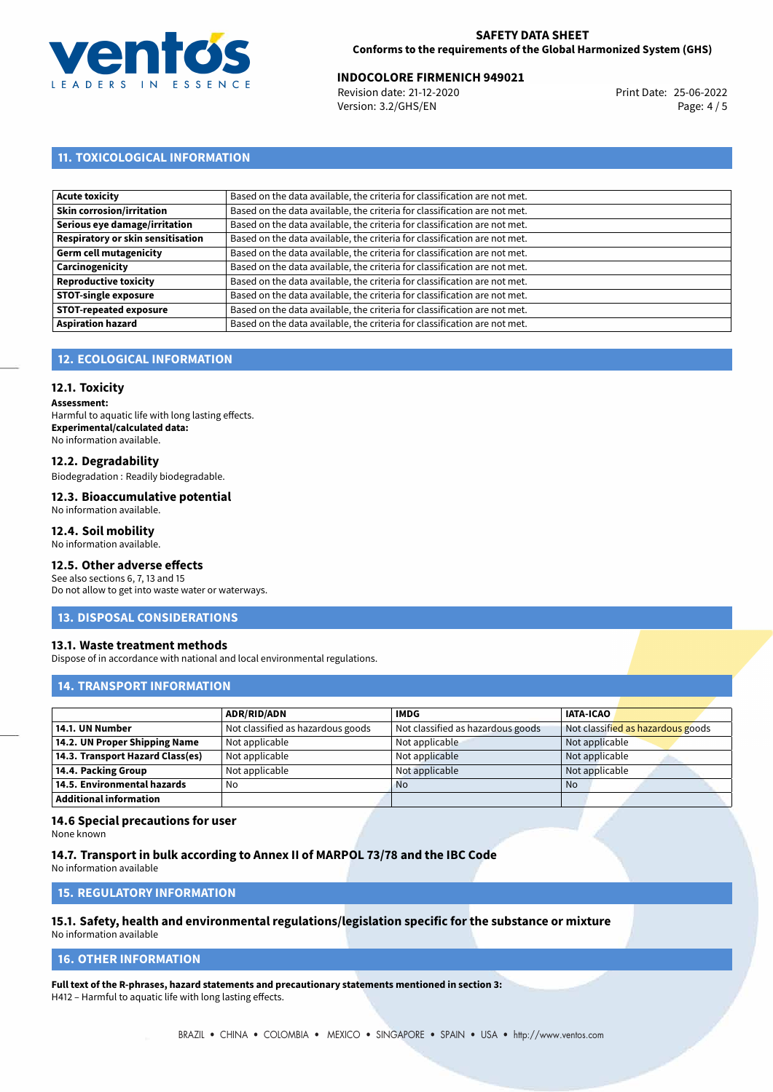

## **INDOCOLORE FIRMENICH 949021**<br> **25-06-2022** Print Date: 25-06-2022<br> **Print Date: 25-06-2022**

Revision date: 21-12-2020 Version: 3.2/GHS/EN Page: 4 / 5

## **11. TOXICOLOGICAL INFORMATION**

| Based on the data available, the criteria for classification are not met. |
|---------------------------------------------------------------------------|
| Based on the data available, the criteria for classification are not met. |
| Based on the data available, the criteria for classification are not met. |
| Based on the data available, the criteria for classification are not met. |
| Based on the data available, the criteria for classification are not met. |
| Based on the data available, the criteria for classification are not met. |
| Based on the data available, the criteria for classification are not met. |
| Based on the data available, the criteria for classification are not met. |
| Based on the data available, the criteria for classification are not met. |
| Based on the data available, the criteria for classification are not met. |
|                                                                           |

## **12. ECOLOGICAL INFORMATION**

## **12.1. Toxicity**

**Assessment:** Harmful to aquatic life with long lasting effects. **Experimental/calculated data:** No information available.

## **12.2. Degradability**

Biodegradation : Readily biodegradable.

#### **12.3. Bioaccumulative potential** No information available.

## **12.4. Soil mobility**

No information available.

## **12.5. Other adverse effects**

See also sections 6, 7, 13 and 15 Do not allow to get into waste water or waterways.

## **13. DISPOSAL CONSIDERATIONS**

## **13.1. Waste treatment methods**

Dispose of in accordance with national and local environmental regulations.

## **14. TRANSPORT INFORMATION**

|                                  | <b>ADR/RID/ADN</b>                | <b>IMDG</b>                       | <b>IATA-ICAO</b>                  |
|----------------------------------|-----------------------------------|-----------------------------------|-----------------------------------|
| 14.1. UN Number                  | Not classified as hazardous goods | Not classified as hazardous goods | Not classified as hazardous goods |
| 14.2. UN Proper Shipping Name    | Not applicable                    | Not applicable                    | Not applicable                    |
| 14.3. Transport Hazard Class(es) | Not applicable                    | Not applicable                    | Not applicable                    |
| 14.4. Packing Group              | Not applicable                    | Not applicable                    | Not applicable                    |
| 14.5. Environmental hazards      | No                                | <b>No</b>                         | No.                               |
| Additional information           |                                   |                                   |                                   |

## **14.6 Special precautions for user**

None known

## **14.7. Transport in bulk according to Annex II of MARPOL 73/78 and the IBC Code**

No information available

## **15. REGULATORY INFORMATION**

### **15.1. Safety, health and environmental regulations/legislation specific for the substance or mixture** No information available

## **16. OTHER INFORMATION**

**Full text of the R-phrases, hazard statements and precautionary statements mentioned in section 3:** H412 – Harmful to aquatic life with long lasting effects.